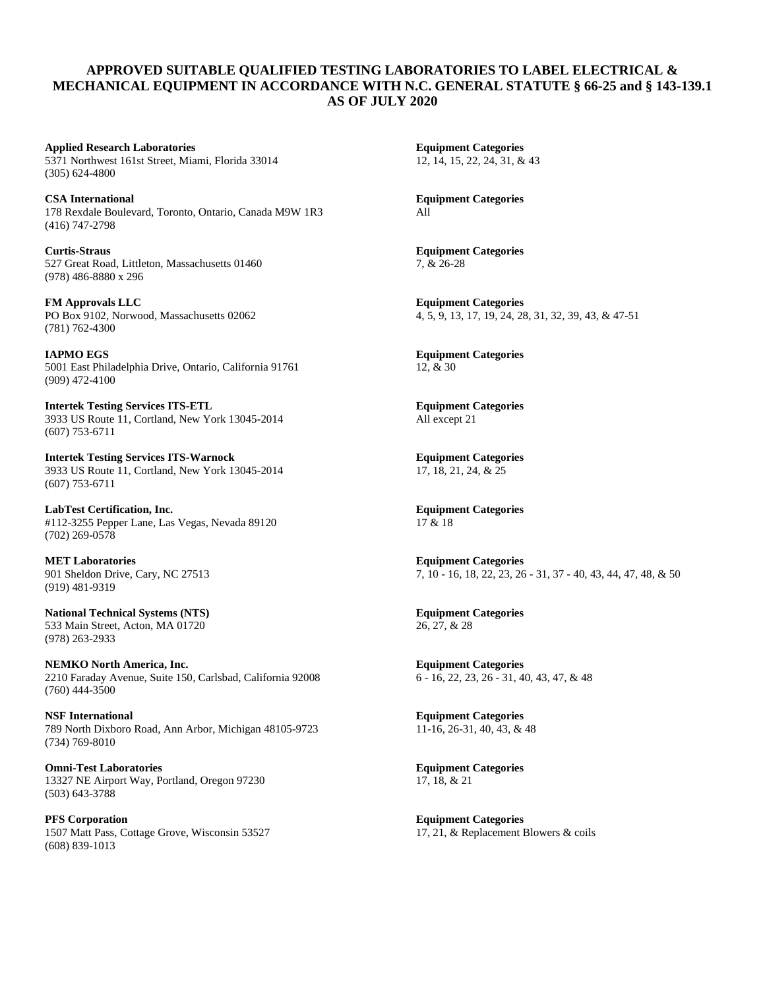## **APPROVED SUITABLE QUALIFIED TESTING LABORATORIES TO LABEL ELECTRICAL & MECHANICAL EQUIPMENT IN ACCORDANCE WITH N.C. GENERAL STATUTE § 66-25 and § 143-139.1 AS OF JULY 2020**

**Applied Research Laboratories Equipment Categories** 5371 Northwest 161st Street, Miami, Florida 33014 12, 14, 15, 22, 24, 31, & 43 (305) 624-4800

**CSA International Equipment Categories** 178 Rexdale Boulevard, Toronto, Ontario, Canada M9W 1R3 All (416) 747-2798

**Curtis-Straus Equipment Categories** 527 Great Road, Littleton, Massachusetts 01460 7, & 26-28 (978) 486-8880 x 296

**FM Approvals LLC Equipment Categories** (781) 762-4300

**IAPMO EGS Equipment Categories** 5001 East Philadelphia Drive, Ontario, California 91761 12, & 30 (909) 472-4100

**Intertek Testing Services ITS-ETL Equipment Categories** 3933 US Route 11, Cortland, New York 13045-2014 All except 21 (607) 753-6711

**Intertek Testing Services ITS-Warnock Equipment Categories** 3933 US Route 11, Cortland, New York 13045-2014 17, 18, 21, 24, & 25 (607) 753-6711

**LabTest Certification, Inc.**<br>
#112-3255 Pepper Lane. Las Vegas. Nevada 89120 17 & 18 #112-3255 Pepper Lane, Las Vegas, Nevada 89120 (702) 269-0578

**MET Laboratories Equipment Categories** (919) 481-9319

**National Technical Systems (NTS) Equipment Categories** 533 Main Street, Acton, MA 01720 26, 27, & 28 (978) 263-2933

**NEMKO North America, Inc. Equipment Categories** 2210 Faraday Avenue, Suite 150, Carlsbad, California 92008 6 - 16, 22, 23, 26 - 31, 40, 43, 47, & 48 (760) 444-3500

**NSF International Equipment Categories**<br> **PAPE 11-16, 26-31, 40, 43, & 48**<br> **I1-16, 26-31, 40, 43, & 48** 789 North Dixboro Road, Ann Arbor, Michigan 48105-9723 (734) 769-8010

**Omni-Test Laboratories Equipment Categories** 13327 NE Airport Way, Portland, Oregon 97230 17, 18, & 21 (503) 643-3788

**PFS Corporation Equipment Categories** 1507 Matt Pass, Cottage Grove, Wisconsin 53527 17, 21, & Replacement Blowers & coils (608) 839-1013

PO Box 9102, Norwood, Massachusetts 02062 4, 5, 9, 13, 17, 19, 24, 28, 31, 32, 39, 43, & 47-51

901 Sheldon Drive, Cary, NC 27513 7, 10 - 16, 18, 22, 23, 26 - 31, 37 - 40, 43, 44, 47, 48, & 50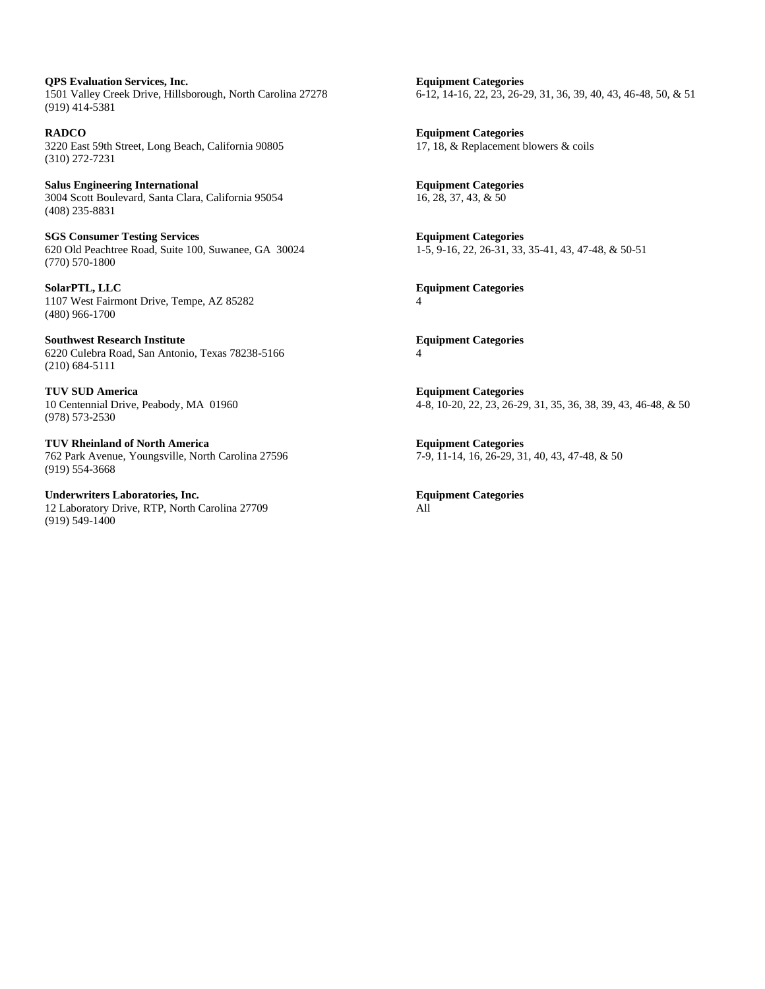**QPS Evaluation Services, Inc. Equipment Categories** 1501 Valley Creek Drive, Hillsborough, North Carolina 27278 6-12, 14-16, 22, 23, 26-29, 31, 36, 39, 40, 43, 46-48, 50, & 51 (919) 414-5381

**RADCO**<br>3220 East 59th Street, Long Beach, California 90805 **Equipment Categories**<br>17, 18, & Replacement blowers & coils 3220 East 59th Street, Long Beach, California 90805 (310) 272-7231

**Salus Engineering International Equipment Categories** 3004 Scott Boulevard, Santa Clara, California 95054 16, 28, 37, 43, & 50 (408) 235-8831

**SGS Consumer Testing Services**<br>
620 Old Peachtree Road, Suite 100, Suwanee, GA 30024<br>
1-5, 9-16, 22, 26-31, 33, 35-41, 43, 47-48, & 50-51 620 Old Peachtree Road, Suite 100, Suwanee, GA 30024 (770) 570-1800

**SolarPTL, LLC Equipment Categories** 1107 West Fairmont Drive, Tempe, AZ 85282 4 (480) 966-1700

**Southwest Research Institute** <br> **Equipment Categories** 6220 Culebra Road, San Antonio, Texas 78238-5166 4 (210) 684-5111

**TUV SUD America Equipment Categories** (978) 573-2530

**TUV Rheinland of North America Equipment Categories** 762 Park Avenue, Youngsville, North Carolina 27596 7-9, 11-14, 16, 26-29, 31, 40, 43, 47-48, & 50 (919) 554-3668

**Underwriters Laboratories, Inc. Equipment Categories**<br>
12 Laboratory Drive, RTP, North Carolina 27709 **All** 12 Laboratory Drive, RTP, North Carolina 27709 (919) 549-1400

10 Centennial Drive, Peabody, MA 01960 4-8, 10-20, 22, 23, 26-29, 31, 35, 36, 38, 39, 43, 46-48, & 50